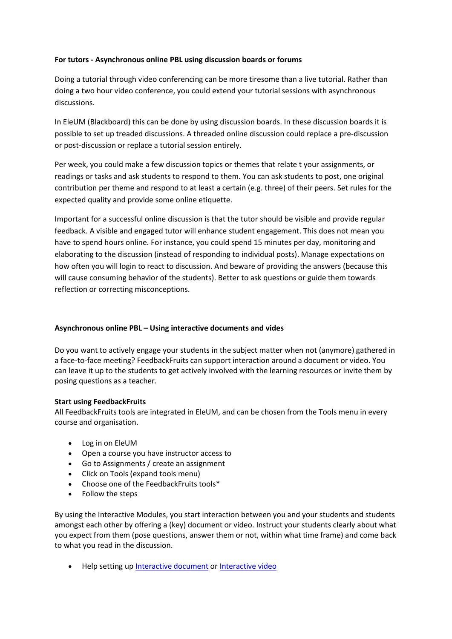## **For tutors - Asynchronous online PBL using discussion boards or forums**

Doing a tutorial through video conferencing can be more tiresome than a live tutorial. Rather than doing a two hour video conference, you could extend your tutorial sessions with asynchronous discussions.

In EleUM (Blackboard) this can be done by using discussion boards. In these discussion boards it is possible to set up treaded discussions. A threaded online discussion could replace a pre-discussion or post-discussion or replace a tutorial session entirely.

Per week, you could make a few discussion topics or themes that relate t your assignments, or readings or tasks and ask students to respond to them. You can ask students to post, one original contribution per theme and respond to at least a certain (e.g. three) of their peers. Set rules for the expected quality and provide some online etiquette.

Important for a successful online discussion is that the tutor should be visible and provide regular feedback. A visible and engaged tutor will enhance student engagement. This does not mean you have to spend hours online. For instance, you could spend 15 minutes per day, monitoring and elaborating to the discussion (instead of responding to individual posts). Manage expectations on how often you will login to react to discussion. And beware of providing the answers (because this will cause consuming behavior of the students). Better to ask questions or guide them towards reflection or correcting misconceptions.

## **Asynchronous online PBL – Using interactive documents and vides**

Do you want to actively engage your students in the subject matter when not (anymore) gathered in a face-to-face meeting? FeedbackFruits can support interaction around a document or video. You can leave it up to the students to get actively involved with the learning resources or invite them by posing questions as a teacher.

## **Start using FeedbackFruits**

All FeedbackFruits tools are integrated in EleUM, and can be chosen from the Tools menu in every course and organisation.

- Log in on EleUM
- Open a course you have instructor access to
- Go to Assignments / create an assignment
- Click on Tools (expand tools menu)
- Choose one of the FeedbackFruits tools\*
- Follow the steps

By using the Interactive Modules, you start interaction between you and your students and students amongst each other by offering a (key) document or video. Instruct your students clearly about what you expect from them (pose questions, answer them or not, within what time frame) and come back to what you read in the discussion.

• Help setting up [Interactive document](https://help.feedbackfruits.com/en/articles/2080614-setting-up-interactive-document) or [Interactive video](https://help.feedbackfruits.com/en/articles/1730786-setting-up-interactive-video)